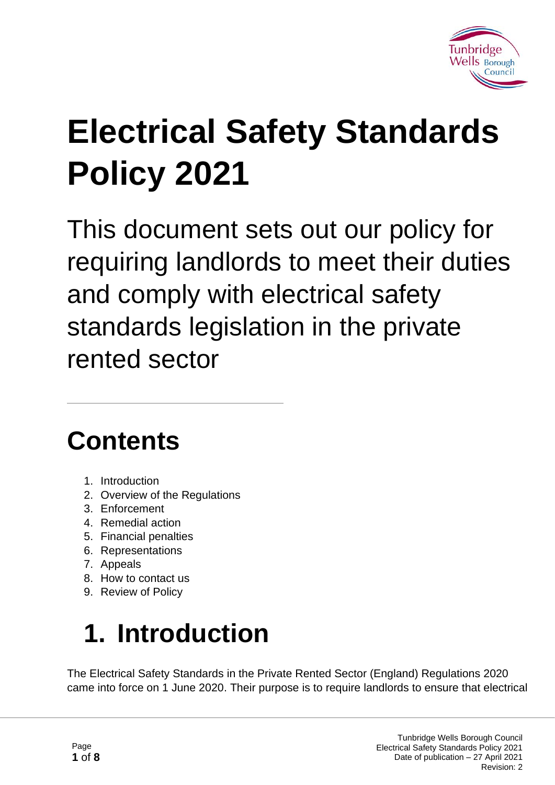

# **Electrical Safety Standards Policy 2021**

This document sets out our policy for requiring landlords to meet their duties and comply with electrical safety standards legislation in the private rented sector

### **Contents**

- 1. Introduction
- 2. Overview of the Regulations
- 3. Enforcement
- 4. Remedial action
- 5. Financial penalties
- 6. Representations
- 7. Appeals
- 8. How to contact us
- 9. Review of Policy

# **1. Introduction**

The Electrical Safety Standards in the Private Rented Sector (England) Regulations 2020 came into force on 1 June 2020. Their purpose is to require landlords to ensure that electrical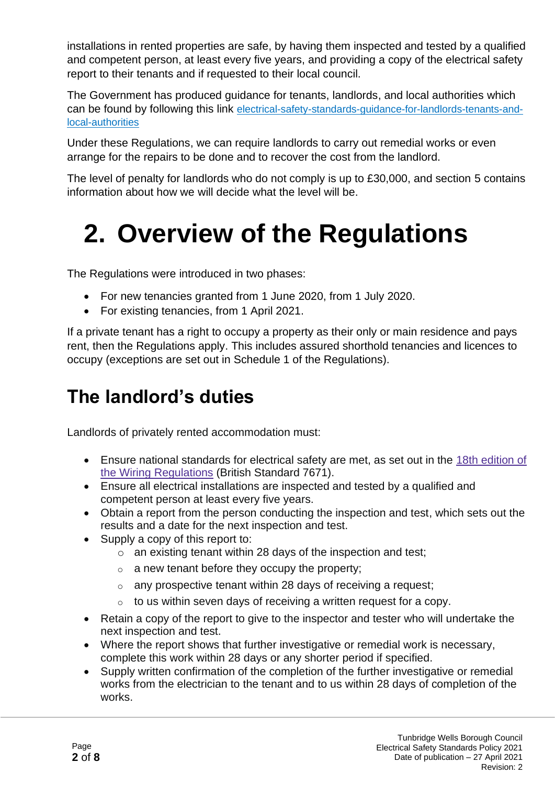installations in rented properties are safe, by having them inspected and tested by a qualified and competent person, at least every five years, and providing a copy of the electrical safety report to their tenants and if requested to their local council.

The Government has produced guidance for tenants, landlords, and local authorities which can be found by following this link [electrical-safety-standards-guidance-for-landlords-tenants-and](https://www.gov.uk/government/publications/electrical-safety-standards-in-the-private-rented-sector-guidance-for-landlords-tenants-and-local-authorities)[local-authorities](https://www.gov.uk/government/publications/electrical-safety-standards-in-the-private-rented-sector-guidance-for-landlords-tenants-and-local-authorities)

Under these Regulations, we can require landlords to carry out remedial works or even arrange for the repairs to be done and to recover the cost from the landlord.

The level of penalty for landlords who do not comply is up to £30,000, and section 5 contains information about how we will decide what the level will be.

### **2. Overview of the Regulations**

The Regulations were introduced in two phases:

- For new tenancies granted from 1 June 2020, from 1 July 2020.
- For existing tenancies, from 1 April 2021.

If a private tenant has a right to occupy a property as their only or main residence and pays rent, then the Regulations apply. This includes assured shorthold tenancies and licences to occupy (exceptions are set out in Schedule 1 of the Regulations).

### **The landlord's duties**

Landlords of privately rented accommodation must:

- Ensure national standards for electrical safety are met, as set out in the 18th [edition](https://electrical.theiet.org/bs-7671/) of the Wiring [Regulations](https://electrical.theiet.org/bs-7671/) (British Standard 7671).
- Ensure all electrical installations are inspected and tested by a qualified and competent person at least every five years.
- Obtain a report from the person conducting the inspection and test, which sets out the results and a date for the next inspection and test.
- Supply a copy of this report to:
	- $\circ$  an existing tenant within 28 days of the inspection and test;
	- $\circ$  a new tenant before they occupy the property;
	- o any prospective tenant within 28 days of receiving a request;
	- $\circ$  to us within seven days of receiving a written request for a copy.
- Retain a copy of the report to give to the inspector and tester who will undertake the next inspection and test.
- Where the report shows that further investigative or remedial work is necessary, complete this work within 28 days or any shorter period if specified.
- Supply written confirmation of the completion of the further investigative or remedial works from the electrician to the tenant and to us within 28 days of completion of the works.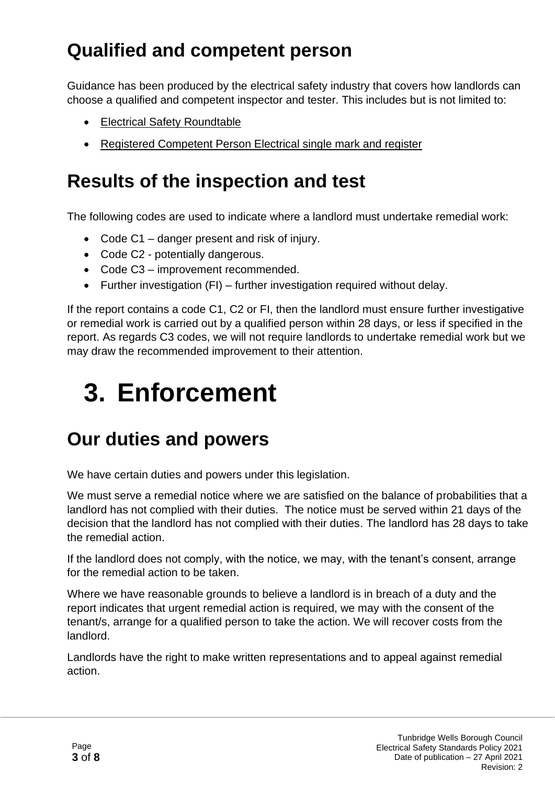### **Qualified and competent person**

Guidance has been produced by the electrical safety industry that covers how landlords can choose a qualified and competent inspector and tester. This includes but is not limited to:

- [Electrical Safety Roundtable](http://www.electricalsafetyroundtable.co.uk/electrical-safety-guidance.aspx)
- [Registered Competent Person Electrical single mark and register](http://www.electricalcompetentperson.co.uk/)

#### **Results of the inspection and test**

The following codes are used to indicate where a landlord must undertake remedial work:

- Code C1 danger present and risk of injury.
- Code C2 potentially dangerous.
- Code C3 improvement recommended.
- Further investigation (FI) further investigation required without delay.

If the report contains a code C1, C2 or FI, then the landlord must ensure further investigative or remedial work is carried out by a qualified person within 28 days, or less if specified in the report. As regards C3 codes, we will not require landlords to undertake remedial work but we may draw the recommended improvement to their attention.

### **3. Enforcement**

#### **Our duties and powers**

We have certain duties and powers under this legislation.

We must serve a remedial notice where we are satisfied on the balance of probabilities that a landlord has not complied with their duties. The notice must be served within 21 days of the decision that the landlord has not complied with their duties. The landlord has 28 days to take the remedial action.

If the landlord does not comply, with the notice, we may, with the tenant's consent, arrange for the remedial action to be taken.

Where we have reasonable grounds to believe a landlord is in breach of a duty and the report indicates that urgent remedial action is required, we may with the consent of the tenant/s, arrange for a qualified person to take the action. We will recover costs from the landlord.

Landlords have the right to make written representations and to appeal against remedial action.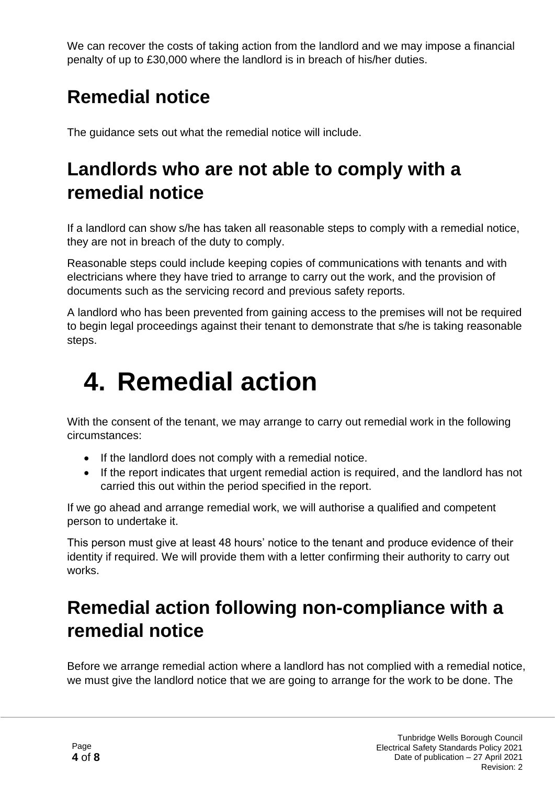We can recover the costs of taking action from the landlord and we may impose a financial penalty of up to £30,000 where the landlord is in breach of his/her duties.

### **Remedial notice**

The guidance sets out what the remedial notice will include.

### **Landlords who are not able to comply with a remedial notice**

If a landlord can show s/he has taken all reasonable steps to comply with a remedial notice, they are not in breach of the duty to comply.

Reasonable steps could include keeping copies of communications with tenants and with electricians where they have tried to arrange to carry out the work, and the provision of documents such as the servicing record and previous safety reports.

A landlord who has been prevented from gaining access to the premises will not be required to begin legal proceedings against their tenant to demonstrate that s/he is taking reasonable steps.

### **4. Remedial action**

With the consent of the tenant, we may arrange to carry out remedial work in the following circumstances:

- If the landlord does not comply with a remedial notice.
- If the report indicates that urgent remedial action is required, and the landlord has not carried this out within the period specified in the report.

If we go ahead and arrange remedial work, we will authorise a qualified and competent person to undertake it.

This person must give at least 48 hours' notice to the tenant and produce evidence of their identity if required. We will provide them with a letter confirming their authority to carry out works.

### **Remedial action following non-compliance with a remedial notice**

Before we arrange remedial action where a landlord has not complied with a remedial notice, we must give the landlord notice that we are going to arrange for the work to be done. The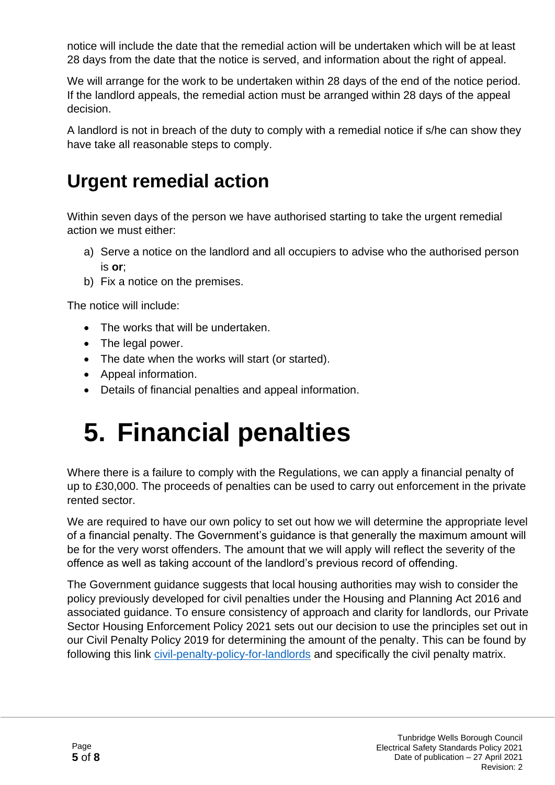notice will include the date that the remedial action will be undertaken which will be at least 28 days from the date that the notice is served, and information about the right of appeal.

We will arrange for the work to be undertaken within 28 days of the end of the notice period. If the landlord appeals, the remedial action must be arranged within 28 days of the appeal decision.

A landlord is not in breach of the duty to comply with a remedial notice if s/he can show they have take all reasonable steps to comply.

#### **Urgent remedial action**

Within seven days of the person we have authorised starting to take the urgent remedial action we must either:

- a) Serve a notice on the landlord and all occupiers to advise who the authorised person is **or**;
- b) Fix a notice on the premises.

The notice will include:

- The works that will be undertaken.
- The legal power.
- The date when the works will start (or started).
- Appeal information.
- Details of financial penalties and appeal information.

### **5. Financial penalties**

Where there is a failure to comply with the Regulations, we can apply a financial penalty of up to £30,000. The proceeds of penalties can be used to carry out enforcement in the private rented sector.

We are required to have our own policy to set out how we will determine the appropriate level of a financial penalty. The Government's guidance is that generally the maximum amount will be for the very worst offenders. The amount that we will apply will reflect the severity of the offence as well as taking account of the landlord's previous record of offending.

The Government guidance suggests that local housing authorities may wish to consider the policy previously developed for civil penalties under the Housing and Planning Act 2016 and associated guidance. To ensure consistency of approach and clarity for landlords, our Private Sector Housing Enforcement Policy 2021 sets out our decision to use the principles set out in our Civil Penalty Policy 2019 for determining the amount of the penalty. This can be found by following this link [civil-penalty-policy-for-landlords](https://tunbridgewells.gov.uk/housing/private-sector-housing/responsibilities-for-landlords/civil-penalty-policy-for-landlords) and specifically the civil penalty matrix.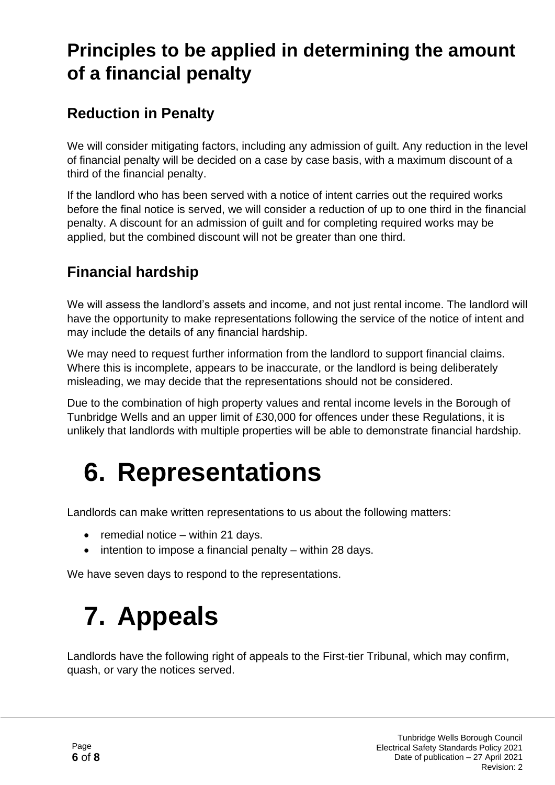### **Principles to be applied in determining the amount of a financial penalty**

#### **Reduction in Penalty**

We will consider mitigating factors, including any admission of guilt. Any reduction in the level of financial penalty will be decided on a case by case basis, with a maximum discount of a third of the financial penalty.

If the landlord who has been served with a notice of intent carries out the required works before the final notice is served, we will consider a reduction of up to one third in the financial penalty. A discount for an admission of guilt and for completing required works may be applied, but the combined discount will not be greater than one third.

#### **Financial hardship**

We will assess the landlord's assets and income, and not just rental income. The landlord will have the opportunity to make representations following the service of the notice of intent and may include the details of any financial hardship.

We may need to request further information from the landlord to support financial claims. Where this is incomplete, appears to be inaccurate, or the landlord is being deliberately misleading, we may decide that the representations should not be considered.

Due to the combination of high property values and rental income levels in the Borough of Tunbridge Wells and an upper limit of £30,000 for offences under these Regulations, it is unlikely that landlords with multiple properties will be able to demonstrate financial hardship.

### **6. Representations**

Landlords can make written representations to us about the following matters:

- remedial notice within 21 days.
- intention to impose a financial penalty within 28 days.

We have seven days to respond to the representations.

## **7. Appeals**

Landlords have the following right of appeals to the First-tier Tribunal, which may confirm, quash, or vary the notices served.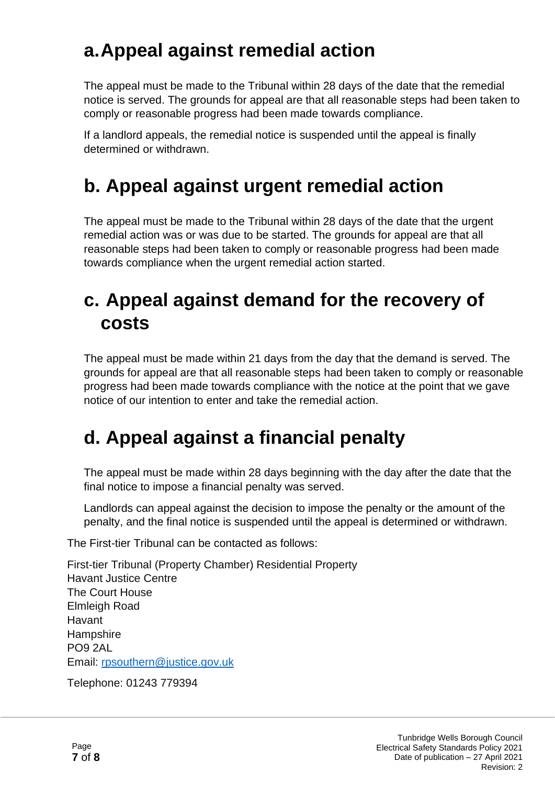#### **a.Appeal against remedial action**

The appeal must be made to the Tribunal within 28 days of the date that the remedial notice is served. The grounds for appeal are that all reasonable steps had been taken to comply or reasonable progress had been made towards compliance.

If a landlord appeals, the remedial notice is suspended until the appeal is finally determined or withdrawn.

#### **b. Appeal against urgent remedial action**

The appeal must be made to the Tribunal within 28 days of the date that the urgent remedial action was or was due to be started. The grounds for appeal are that all reasonable steps had been taken to comply or reasonable progress had been made towards compliance when the urgent remedial action started.

#### **c. Appeal against demand for the recovery of costs**

The appeal must be made within 21 days from the day that the demand is served. The grounds for appeal are that all reasonable steps had been taken to comply or reasonable progress had been made towards compliance with the notice at the point that we gave notice of our intention to enter and take the remedial action.

### **d. Appeal against a financial penalty**

The appeal must be made within 28 days beginning with the day after the date that the final notice to impose a financial penalty was served.

Landlords can appeal against the decision to impose the penalty or the amount of the penalty, and the final notice is suspended until the appeal is determined or withdrawn.

The First-tier Tribunal can be contacted as follows:

First-tier Tribunal (Property Chamber) Residential Property Havant Justice Centre The Court House Elmleigh Road Havant **Hampshire** PO9 2AL Email: [rpsouthern@justice.gov.uk](mailto:rpsouthern@justice.gov.uk)

Telephone: 01243 779394